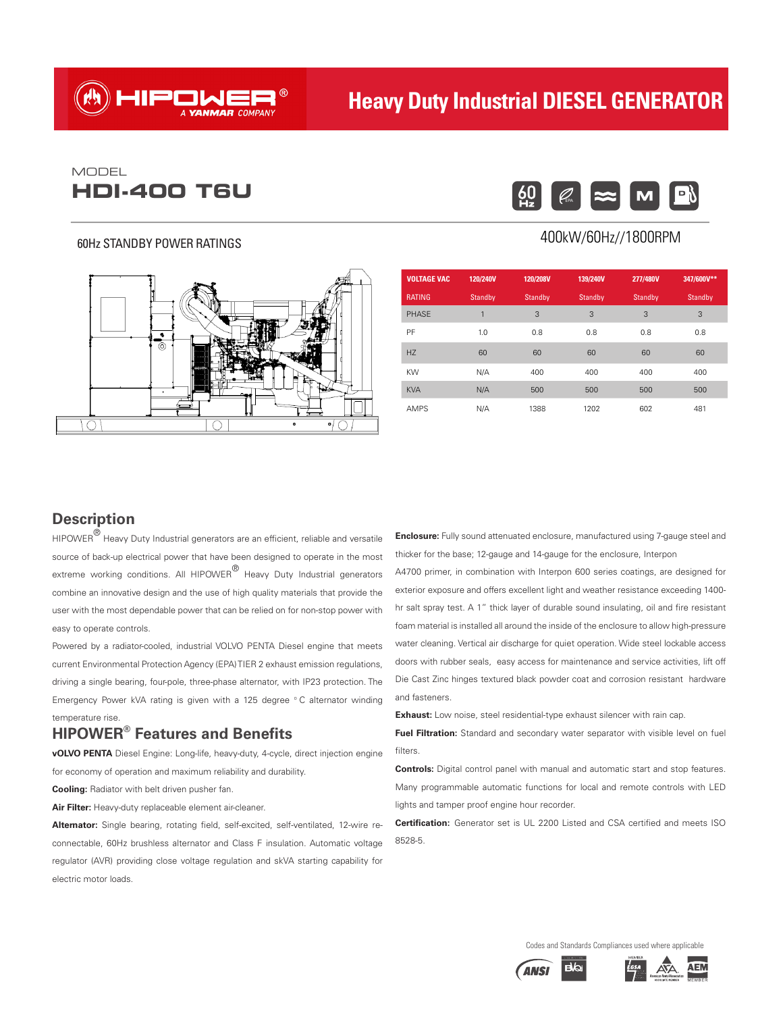# HIPONER®

# **Heavy Duty Industrial DIESEL GENERATOR**

# **HDI-400 T6U**  $\begin{bmatrix} 60 \\ 42 \end{bmatrix}$   $\begin{bmatrix} \emptyset \\ \emptyset \end{bmatrix}$ MODEL

#### 60Hz STANDBY POWER RATINGS



#### $|\boldsymbol{\infty}|$ M

#### 400kW/60Hz//1800RPM

| <b>VOLTAGE VAC</b> | 120/240V | 120/208V | 139/240V       | 277/480V | 347/600V** |
|--------------------|----------|----------|----------------|----------|------------|
| <b>RATING</b>      | Standby  | Standby  | <b>Standby</b> | Standby  | Standby    |
| <b>PHASE</b>       | 1        | 3        | 3              | 3        | 3          |
| PF                 | 1.0      | 0.8      | 0.8            | 0.8      | 0.8        |
| H <sub>7</sub>     | 60       | 60       | 60             | 60       | 60         |
| KW                 | N/A      | 400      | 400            | 400      | 400        |
| <b>KVA</b>         | N/A      | 500      | 500            | 500      | 500        |
| <b>AMPS</b>        | N/A      | 1388     | 1202           | 602      | 481        |

#### **Description**

 $HIPOWER^{\bigcirc\!}$  Heavy Duty Industrial generators are an efficient, reliable and versatile source of back-up electrical power that have been designed to operate in the most extreme working conditions. All HIPOWER® Heavy Duty Industrial generators combine an innovative design and the use of high quality materials that provide the user with the most dependable power that can be relied on for non-stop power with easy to operate controls.

Powered by a radiator-cooled, industrial VOLVO PENTA Diesel engine that meets current Environmental Protection Agency (EPA) TIER 2 exhaust emission regulations, driving a single bearing, four-pole, three-phase alternator, with IP23 protection. The Emergency Power kVA rating is given with a 125 degree ° C alternator winding temperature rise.

### **HIPOWER® Features and Benefits**

**vOLVO PENTA** Diesel Engine: Long-life, heavy-duty, 4-cycle, direct injection engine for economy of operation and maximum reliability and durability.

**Cooling:** Radiator with belt driven pusher fan.

**Air Filter:** Heavy-duty replaceable element air-cleaner.

**Alternator:** Single bearing, rotating field, self-excited, self-ventilated, 12-wire reconnectable, 60Hz brushless alternator and Class F insulation. Automatic voltage regulator (AVR) providing close voltage regulation and skVA starting capability for electric motor loads.

**Enclosure:** Fully sound attenuated enclosure, manufactured using 7-gauge steel and thicker for the base; 12-gauge and 14-gauge for the enclosure, Interpon

A4700 primer, in combination with Interpon 600 series coatings, are designed for exterior exposure and offers excellent light and weather resistance exceeding 1400 hr salt spray test. A 1" thick layer of durable sound insulating, oil and fire resistant foam material is installed all around the inside of the enclosure to allow high-pressure water cleaning. Vertical air discharge for quiet operation. Wide steel lockable access doors with rubber seals, easy access for maintenance and service activities, lift off Die Cast Zinc hinges textured black powder coat and corrosion resistant hardware and fasteners.

**Exhaust:** Low noise, steel residential-type exhaust silencer with rain cap.

**Fuel Filtration:** Standard and secondary water separator with visible level on fuel filters

**Controls:** Digital control panel with manual and automatic start and stop features. Many programmable automatic functions for local and remote controls with LED lights and tamper proof engine hour recorder.

**Certification:** Generator set is UL 2200 Listed and CSA certified and meets ISO 8528-5.

Codes and Standards Compliances used where applicable



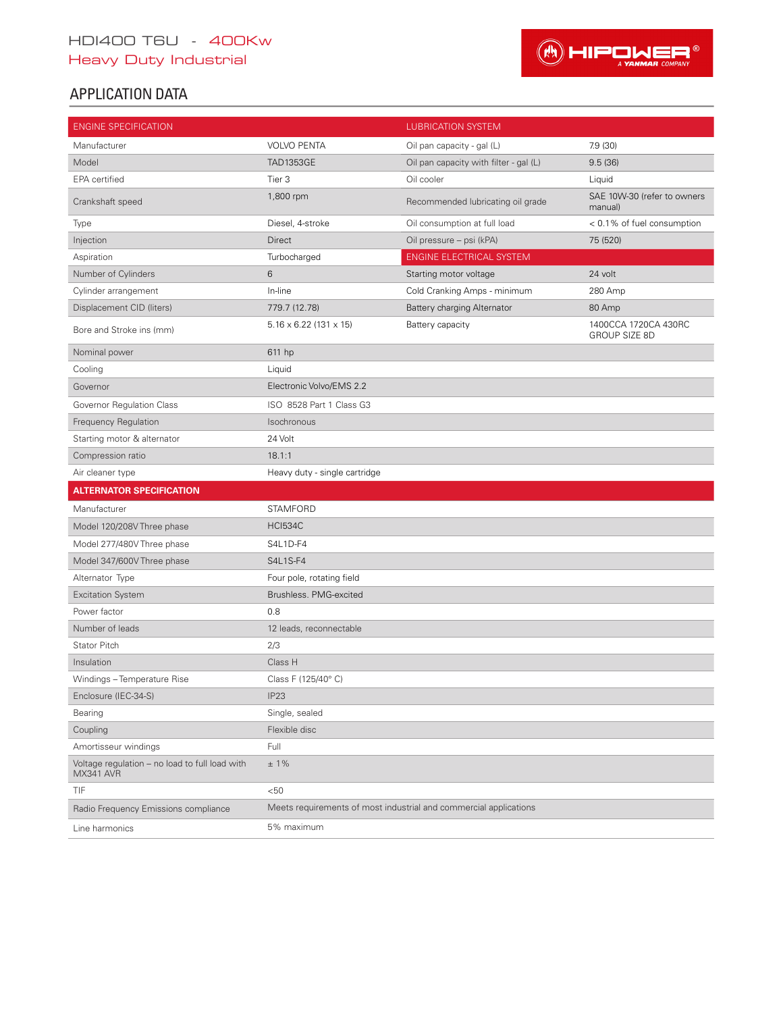# HDI400 T6U - 400Kw Heavy Duty Industrial



# APPLICATION DATA

| <b>ENGINE SPECIFICATION</b>                                 |                                      | <b>LUBRICATION SYSTEM</b>                                         |                                              |
|-------------------------------------------------------------|--------------------------------------|-------------------------------------------------------------------|----------------------------------------------|
| Manufacturer                                                | <b>VOLVO PENTA</b>                   | Oil pan capacity - gal (L)                                        | 7.9 (30)                                     |
| Model                                                       | <b>TAD1353GE</b>                     | Oil pan capacity with filter - gal (L)                            | 9.5(36)                                      |
| EPA certified                                               | Tier 3                               | Oil cooler                                                        | Liquid                                       |
| Crankshaft speed                                            | 1,800 rpm                            | Recommended lubricating oil grade                                 | SAE 10W-30 (refer to owners<br>manual)       |
| Type                                                        | Diesel, 4-stroke                     | Oil consumption at full load                                      | < 0.1% of fuel consumption                   |
| Injection                                                   | Direct                               | Oil pressure - psi (kPA)                                          | 75 (520)                                     |
| Aspiration                                                  | Turbocharged                         | <b>ENGINE ELECTRICAL SYSTEM</b>                                   |                                              |
| Number of Cylinders                                         | 6                                    | Starting motor voltage                                            | 24 volt                                      |
| Cylinder arrangement                                        | In-line                              | Cold Cranking Amps - minimum                                      | 280 Amp                                      |
| Displacement CID (liters)                                   | 779.7 (12.78)                        | Battery charging Alternator                                       | 80 Amp                                       |
| Bore and Stroke ins (mm)                                    | $5.16 \times 6.22$ (131 $\times$ 15) | Battery capacity                                                  | 1400CCA 1720CA 430RC<br><b>GROUP SIZE 8D</b> |
| Nominal power                                               | 611 hp                               |                                                                   |                                              |
| Cooling                                                     | Liquid                               |                                                                   |                                              |
| Governor                                                    | Electronic Volvo/EMS 2.2             |                                                                   |                                              |
| Governor Regulation Class                                   | ISO 8528 Part 1 Class G3             |                                                                   |                                              |
| Frequency Regulation                                        | Isochronous                          |                                                                   |                                              |
| Starting motor & alternator                                 | 24 Volt                              |                                                                   |                                              |
| Compression ratio                                           | 18.1:1                               |                                                                   |                                              |
| Air cleaner type                                            | Heavy duty - single cartridge        |                                                                   |                                              |
| <b>ALTERNATOR SPECIFICATION</b>                             |                                      |                                                                   |                                              |
| Manufacturer                                                | <b>STAMFORD</b>                      |                                                                   |                                              |
| Model 120/208V Three phase                                  | <b>HCI534C</b>                       |                                                                   |                                              |
| Model 277/480V Three phase                                  | S4L1D-F4                             |                                                                   |                                              |
| Model 347/600V Three phase                                  | S4L1S-F4                             |                                                                   |                                              |
| Alternator Type                                             | Four pole, rotating field            |                                                                   |                                              |
| <b>Excitation System</b>                                    | Brushless. PMG-excited               |                                                                   |                                              |
| Power factor                                                | 0.8                                  |                                                                   |                                              |
| Number of leads                                             | 12 leads, reconnectable              |                                                                   |                                              |
| <b>Stator Pitch</b>                                         | 2/3                                  |                                                                   |                                              |
| Insulation                                                  | Class H                              |                                                                   |                                              |
| Windings - Temperature Rise                                 | Class F (125/40°C)                   |                                                                   |                                              |
| Enclosure (IEC-34-S)                                        | IP <sub>23</sub>                     |                                                                   |                                              |
| Bearing                                                     | Single, sealed                       |                                                                   |                                              |
| Coupling                                                    | Flexible disc                        |                                                                   |                                              |
| Amortisseur windings                                        | Full                                 |                                                                   |                                              |
| Voltage regulation - no load to full load with<br>MX341 AVR | $±1\%$                               |                                                                   |                                              |
| TIF                                                         | < 50                                 |                                                                   |                                              |
| Radio Frequency Emissions compliance                        |                                      | Meets requirements of most industrial and commercial applications |                                              |
| Line harmonics                                              | 5% maximum                           |                                                                   |                                              |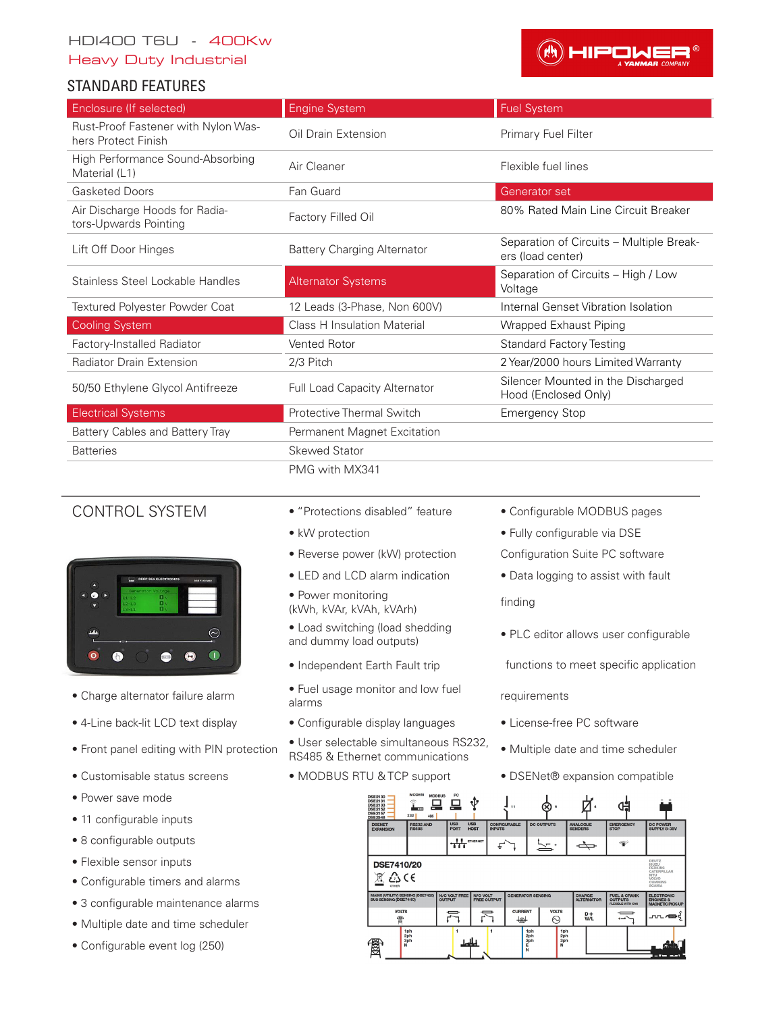# HDI400 T6U - 400Kw

Heavy Duty Industrial

### STANDARD FEATURES



| Enclosure (If selected)                                    | <b>Engine System</b>                 | <b>Fuel System</b>                                            |
|------------------------------------------------------------|--------------------------------------|---------------------------------------------------------------|
| Rust-Proof Fastener with Nylon Was-<br>hers Protect Finish | Oil Drain Extension                  | Primary Fuel Filter                                           |
| High Performance Sound-Absorbing<br>Material (L1)          | Air Cleaner                          | Flexible fuel lines                                           |
| <b>Gasketed Doors</b>                                      | Fan Guard                            | Generator set                                                 |
| Air Discharge Hoods for Radia-<br>tors-Upwards Pointing    | Factory Filled Oil                   | 80% Rated Main Line Circuit Breaker                           |
| Lift Off Door Hinges                                       | <b>Battery Charging Alternator</b>   | Separation of Circuits - Multiple Break-<br>ers (load center) |
| Stainless Steel Lockable Handles                           | <b>Alternator Systems</b>            | Separation of Circuits - High / Low<br>Voltage                |
| Textured Polyester Powder Coat                             | 12 Leads (3-Phase, Non 600V)         | Internal Genset Vibration Isolation                           |
| <b>Cooling System</b>                                      | <b>Class H Insulation Material</b>   | Wrapped Exhaust Piping                                        |
| Factory-Installed Radiator                                 | Vented Rotor                         | <b>Standard Factory Testing</b>                               |
| <b>Radiator Drain Extension</b>                            | 2/3 Pitch                            | 2 Year/2000 hours Limited Warranty                            |
| 50/50 Ethylene Glycol Antifreeze                           | <b>Full Load Capacity Alternator</b> | Silencer Mounted in the Discharged<br>Hood (Enclosed Only)    |
| <b>Electrical Systems</b>                                  | Protective Thermal Switch            | <b>Emergency Stop</b>                                         |
| Battery Cables and Battery Tray                            | Permanent Magnet Excitation          |                                                               |
| <b>Batteries</b>                                           | Skewed Stator                        |                                                               |
|                                                            | PMG with MX341                       |                                                               |



- 
- 
- 
- 
- Power save mode
- 11 configurable inputs
- 8 configurable outputs
- Flexible sensor inputs
- Configurable timers and alarms
- 3 configurable maintenance alarms
- Multiple date and time scheduler
- Configurable event log (250)
- CONTROL SYSTEM "Protections disabled" feature Configurable MODBUS pages
	-
	-
	-
	- Power monitoring (kWh, kVAr, kVAh, kVArh) finding
	- Load switching (load shedding • Load switching load shedding<br>and dummy load outputs) • PLC editor allows user configurable
	-
- Charge alternator failure alarm Fuel usage monitor and low fuel
- 4-Line back-lit LCD text display Configurable display languages License-free PC software
- Front panel editing with PIN protection User selectable simultaneous RS232, • Oser selectable simultatie ous 10202, • Multiple date and time scheduler RS485 & Ethernet communications
	-
- 
- kW protection Fully configurable via DSE
- Reverse power (kW) protection Configuration Suite PC software
- LED and LCD alarm indication Data logging to assist with fault

- 
- Independent Earth Fault trip functions to meet specific application

#### requirements

- 
- 
- Customisable status screens MODBUS RTU & TCP support DSENet® expansion compatible

| <b>DSE2130</b><br><b>DSE2131</b><br><b>DSE2133</b><br><b>DSE2152</b><br><b>DSE2157</b><br><b>DSE2548</b>                                       | <b>MUULM</b><br>î<br>▭<br>m<br>232<br>485 | <b>MODBUS</b><br>rv                   |                                            | 11                                        |                        |                                    |                                                                       |                                                                      |  |
|------------------------------------------------------------------------------------------------------------------------------------------------|-------------------------------------------|---------------------------------------|--------------------------------------------|-------------------------------------------|------------------------|------------------------------------|-----------------------------------------------------------------------|----------------------------------------------------------------------|--|
| <b>DSENET</b><br><b>EXPANSION</b>                                                                                                              | <b>RS232 AND</b><br><b>RS485</b>          | <b>USB</b><br><b>PORT</b>             | <b>USB</b><br><b>HOST</b><br><b>INPUTS</b> | <b>CONFIGURABLE</b>                       | <b>DC OUTPUTS</b>      | <b>ANALOGUE</b><br><b>SENDERS</b>  | <b>EMERGENCY</b><br><b>STOP</b>                                       | <b>DC POWER</b><br><b>SUPPLY 8-35V</b>                               |  |
|                                                                                                                                                |                                           | <b>I</b> ETHERNET<br>π                |                                            |                                           |                        |                                    | F                                                                     |                                                                      |  |
| DEUTZ<br><b>DSE7410/20</b><br>ISUZU<br><b>PERKINS</b><br>CATERPILLAR<br>€∠3<br><b>MTU</b><br><b>VOLVO</b><br><b>CUMMINS</b><br>SCANIA<br>OTHER |                                           |                                       |                                            |                                           |                        |                                    |                                                                       |                                                                      |  |
| <b>MAINS (UTILITY) SENSING (DSE7420)</b><br><b>BUS SENSING (DSE7410)</b>                                                                       |                                           | <b>N/C VOLT FREE</b><br><b>OUTPUT</b> | <b>N/O VOLT</b><br><b>FREE OUTPUT</b>      | <b>GENERATOR SENSING</b>                  |                        | <b>CHARGE</b><br><b>ALTERNATOR</b> | <b>FUEL &amp; CRANK</b><br><b>OUTPUTS</b><br><b>FLEXIBLE WITH CAN</b> | <b>ELECTRONIC</b><br><b>ENGINES &amp;</b><br><b>MAGNETIC PICK-UP</b> |  |
| <b>VOLTS</b><br>雷                                                                                                                              |                                           |                                       |                                            | <b>CURRENT</b><br>$\overline{\mathbb{R}}$ | <b>VOLTS</b><br>∾      | $D +$<br>W/L                       | أسدت                                                                  |                                                                      |  |
| 圏                                                                                                                                              | 1ph<br>2ph<br>3ph<br>N                    |                                       |                                            | 1ph<br>2ph<br>3ph<br>E<br>N               | 1ph<br>2ph<br>3ph<br>N |                                    |                                                                       | i filosofia<br>$-10-10$                                              |  |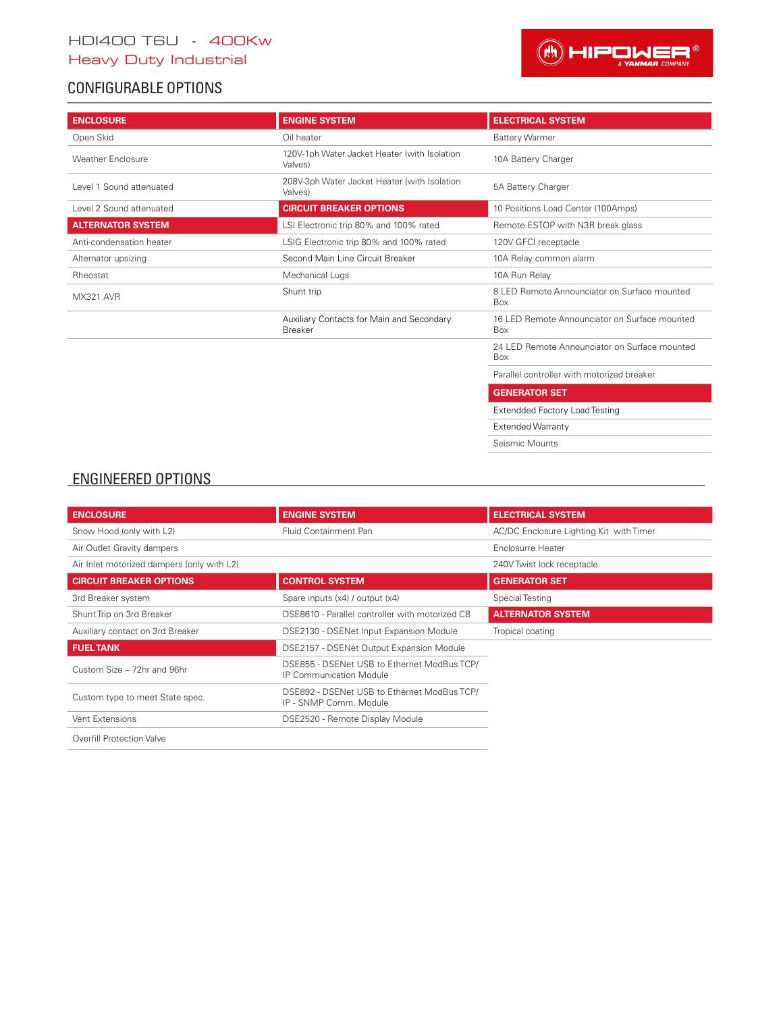# CONFIGURABLE OPTIONS



| <b>ENCLOSURE</b>         | <b>ENGINE SYSTEM</b>                                        | <b>ELECTRICAL SYSTEM</b>                             |
|--------------------------|-------------------------------------------------------------|------------------------------------------------------|
| Open Skid                | Oil heater                                                  | <b>Battery Warmer</b>                                |
| <b>Weather Enclosure</b> | 120V-1ph Water Jacket Heater (with Isolation<br>Valves)     | 10A Battery Charger                                  |
| Level 1 Sound attenuated | 208V-3ph Water Jacket Heater (with Isolation<br>Valves)     | 5A Battery Charger                                   |
| Level 2 Sound attenuated | <b>CIRCUIT BREAKER OPTIONS</b>                              | 10 Positions Load Center (100Amps)                   |
| <b>ALTERNATOR SYSTEM</b> | LSI Electronic trip 80% and 100% rated                      | Remote ESTOP with N3R break glass                    |
| Anti-condensation heater | LSIG Electronic trip 80% and 100% rated                     | 120V GFCI receptacle                                 |
| Alternator upsizing      | Second Main Line Circuit Breaker                            | 10A Relay common alarm                               |
| Rheostat                 | Mechanical Lugs                                             | 10A Run Relay                                        |
| MX321 AVR                | Shunt trip                                                  | 8 LED Remote Announciator on Surface mounted<br>Box  |
|                          | Auxiliary Contacts for Main and Secondary<br><b>Breaker</b> | 16 LED Remote Announciator on Surface mounted<br>Box |
|                          |                                                             | 24 LED Remote Announciator on Surface mounted<br>Box |
|                          |                                                             | Parallel controller with motorized breaker           |
|                          |                                                             | <b>APRICATION AT APP</b>                             |

**GENERATOR SET** Extendded Factory Load Testing Extended Warranty

Seismic Mounts

# ENGINEERED OPTIONS

| <b>ENCLOSURE</b>                           | <b>ENGINE SYSTEM</b>                                                          | <b>ELECTRICAL SYSTEM</b>                |
|--------------------------------------------|-------------------------------------------------------------------------------|-----------------------------------------|
| Snow Hood (only with L2)                   | Fluid Containment Pan                                                         | AC/DC Enclosure Lighting Kit with Timer |
| Air Outlet Gravity dampers                 |                                                                               | Enclosurre Heater                       |
| Air Inlet motorized dampers (only with L2) |                                                                               | 240V Twist lock receptacle              |
| <b>CIRCUIT BREAKER OPTIONS</b>             | <b>CONTROL SYSTEM</b>                                                         | <b>GENERATOR SET</b>                    |
| 3rd Breaker system                         | Spare inputs (x4) / output (x4)                                               | Special Testing                         |
| Shunt Trip on 3rd Breaker                  | DSE8610 - Parallel controller with motorized CB                               | <b>ALTERNATOR SYSTEM</b>                |
| Auxiliary contact on 3rd Breaker           | DSE2130 - DSENet Input Expansion Module                                       | Tropical coating                        |
| <b>FUELTANK</b>                            | DSE2157 - DSENet Output Expansion Module                                      |                                         |
| Custom Size - 72hr and 96hr                | DSE855 - DSENet USB to Ethernet ModBus TCP/<br><b>IP Communication Module</b> |                                         |
| Custom type to meet State spec.            | DSE892 - DSENet USB to Ethernet ModBus TCP/<br>IP - SNMP Comm. Module         |                                         |
| Vent Extensions                            | DSE2520 - Remote Display Module                                               |                                         |
| Overfill Protection Valve                  |                                                                               |                                         |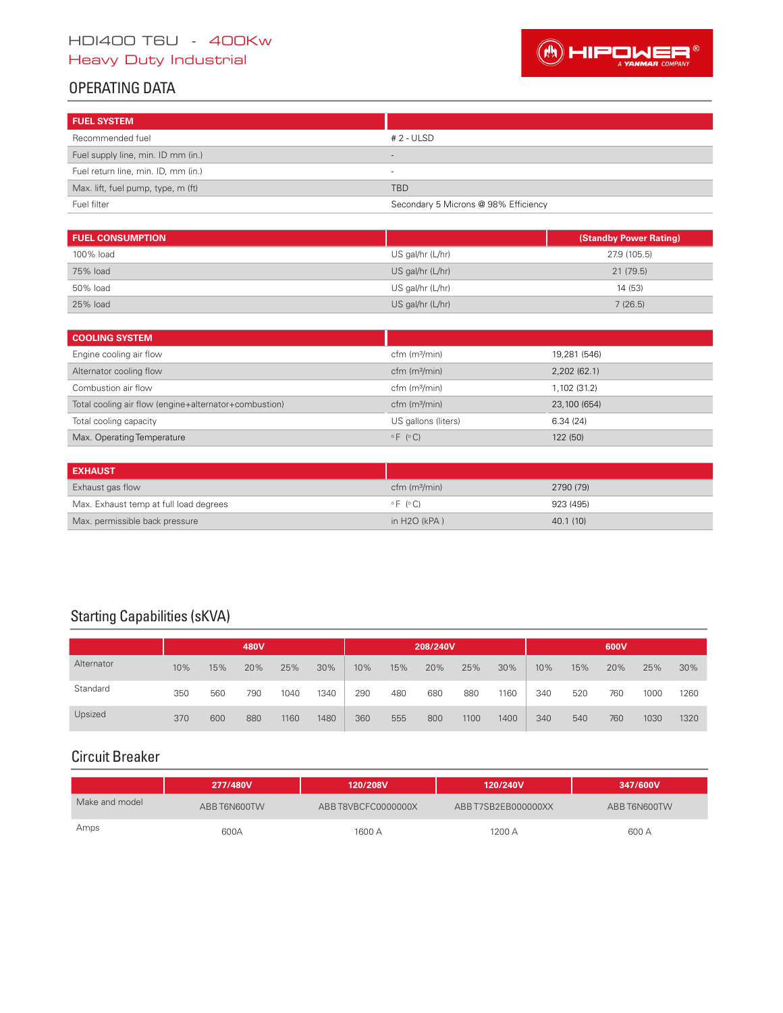# HDI400 T6U - 400Kw Heavy Duty Industrial



# OPERATING DATA

| <b>FUEL SYSTEM</b>                  |                                      |
|-------------------------------------|--------------------------------------|
| Recommended fuel                    | # 2 - ULSD                           |
| Fuel supply line, min. ID mm (in.)  |                                      |
| Fuel return line, min. ID, mm (in.) | $\overline{\phantom{a}}$             |
| Max. lift, fuel pump, type, m (ft)  | <b>TBD</b>                           |
| Fuel filter                         | Secondary 5 Microns @ 98% Efficiency |

| <b>FUEL CONSUMPTION</b> |                    | (Standby Power Rating) |
|-------------------------|--------------------|------------------------|
| 100% load               | US gal/hr (L/hr)   | 27.9 (105.5)           |
| 75% load                | US gal/hr $(L/hr)$ | 21(79.5)               |
| 50% load                | US gal/hr (L/hr)   | 14 (53)                |
| 25% load                | US gal/hr (L/hr)   | 7(26.5)                |

| <b>COOLING SYSTEM</b>                                 |                        |              |
|-------------------------------------------------------|------------------------|--------------|
| Engine cooling air flow                               | $cfm$ ( $m3/min$ )     | 19,281 (546) |
| Alternator cooling flow                               | $cfm$ ( $m3/min$ )     | 2,202(62.1)  |
| Combustion air flow                                   | $cfm$ ( $m3/min$ )     | 1,102 (31.2) |
| Total cooling air flow (engine+alternator+combustion) | $cfm$ ( $m3/min$ )     | 23,100 (654) |
| Total cooling capacity                                | US gallons (liters)    | 6.34(24)     |
| Max. Operating Temperature                            | $\circ$ F $( \circ C)$ | 122 (50)     |

| <b>EXHAUST</b>                         |                        |           |
|----------------------------------------|------------------------|-----------|
| Exhaust gas flow                       | $cfm$ ( $m3/min$ )     | 2790 (79) |
| Max. Exhaust temp at full load degrees | $\circ$ F ( $\circ$ C) | 923 (495) |
| Max. permissible back pressure         | in $H2O$ (kPA)         | 40.1(10)  |

# Starting Capabilities (sKVA)

|            |     |     | 480V |      |      |     |     | 208/240V |      |      |     |     | 600V |      |      |
|------------|-----|-----|------|------|------|-----|-----|----------|------|------|-----|-----|------|------|------|
| Alternator | 10% | 15% | 20%  | 25%  | 30%  | 10% | 15% | 20%      | 25%  | 30%  | 10% | 15% | 20%  | 25%  | 30%  |
| Standard   | 350 | 560 | 790  | 1040 | 1340 | 290 | 480 | 680      | 880  | 1160 | 340 | 520 | 760  | 1000 | 1260 |
| Upsized    | 370 | 600 | 880  | 1160 | 1480 | 360 | 555 | 800      | 1100 | 1400 | 340 | 540 | 760  | 1030 | 1320 |

# Circuit Breaker

|                | 277/480V     | 120/208V            | 120/240V            | 347/600V     |
|----------------|--------------|---------------------|---------------------|--------------|
| Make and model | ABB T6N600TW | ABB T8VBCFC0000000X | ABB T7SB2EB000000XX | ABB T6N600TW |
| Amps           | 600A         | 1600 A              | 1200 A              | 600 A        |